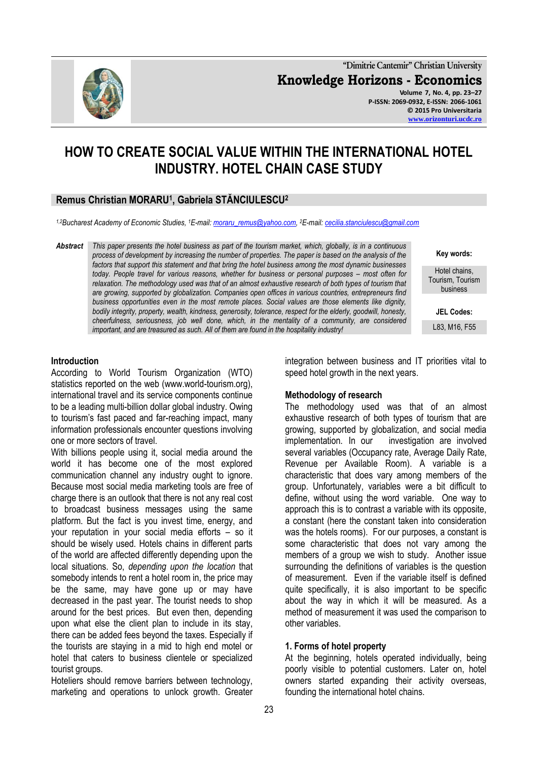**"Dimitrie Cantemir" Christian University Knowledge Horizons - Economics Volume 7, No. 4, pp. 23–27 P-ISSN: 2069-0932, E-ISSN: 2066-1061 © 2015 Pro Universitaria**

**HOW TO CREATE SOCIAL VALUE WITHIN THE INTERNATIONAL HOTEL INDUSTRY. HOTEL CHAIN CASE STUDY** 

# **Remus Christian MORARU<sup>1</sup> , Gabriela STĂNCIULESCU<sup>2</sup>**

*1,2Bucharest Academy of Economic Studies, <sup>1</sup>E-mail[: moraru\\_remus@yahoo.com,](mailto:moraru_remus@yahoo.com)  <sup>2</sup>E-mail[: cecilia.stanciulescu@gmail.com](mailto:cecilia.stanciulescu@gmail.com)*

*Abstract This paper presents the hotel business as part of the tourism market, which, globally, is in a continuous process of development by increasing the number of properties. The paper is based on the analysis of the factors that support this statement and that bring the hotel business among the most dynamic businesses today. People travel for various reasons, whether for business or personal purposes – most often for relaxation. The methodology used was that of an almost exhaustive research of both types of tourism that are growing, supported by globalization. Companies open offices in various countries, entrepreneurs find business opportunities even in the most remote places. Social values are those elements like dignity, bodily integrity, property, wealth, kindness, generosity, tolerance, respect for the elderly, goodwill, honesty, cheerfulness, seriousness, job well done, which, in the mentality of a community, are considered important, and are treasured as such. All of them are found in the hospitality industry!*

> integration between business and IT priorities vital to speed hotel growth in the next years.

## **Methodology of research**

The methodology used was that of an almost exhaustive research of both types of tourism that are growing, supported by globalization, and social media implementation. In our investigation are involved several variables (Occupancy rate, Average Daily Rate, Revenue per Available Room). A variable is a characteristic that does vary among members of the group. Unfortunately, variables were a bit difficult to define, without using the word variable. One way to approach this is to contrast a variable with its opposite, a constant (here the constant taken into consideration was the hotels rooms). For our purposes, a constant is some characteristic that does not vary among the members of a group we wish to study. Another issue surrounding the definitions of variables is the question of measurement. Even if the variable itself is defined quite specifically, it is also important to be specific about the way in which it will be measured. As a method of measurement it was used the comparison to other variables.

## **1. Forms of hotel property**

At the beginning, hotels operated individually, being poorly visible to potential customers. Later on, hotel owners started expanding their activity overseas, founding the international hotel chains.

According to World Tourism Organization (WTO) statistics reported on the web (www.world-tourism.org), international travel and its service components continue to be a leading multi-billion dollar global industry. Owing to tourism's fast paced and far-reaching impact, many information professionals encounter questions involving one or more sectors of travel.

With billions people using it, social media around the world it has become one of the most explored communication channel any industry ought to ignore. Because most social media marketing tools are free of charge there is an outlook that there is not any real cost to broadcast business messages using the same platform. But the fact is you invest time, energy, and your reputation in your social media efforts – so it should be wisely used. Hotels chains in different parts of the world are affected differently depending upon the local situations. So, *depending upon the location* that somebody intends to rent a hotel room in, the price may be the same, may have gone up or may have decreased in the past year. The tourist needs to shop around for the best prices. But even then, depending upon what else the client plan to include in its stay, there can be added fees beyond the taxes. Especially if the tourists are staying in a mid to high end motel or hotel that caters to business clientele or specialized tourist groups.

Hoteliers should remove barriers between technology, marketing and operations to unlock growth. Greater



**Key words:** Hotel chains, Tourism, Tourism business

**[www.orizonturi.ucdc.ro](http://www.orizonturi.ucdc.ro/)**

**JEL Codes:** L83, M16, F55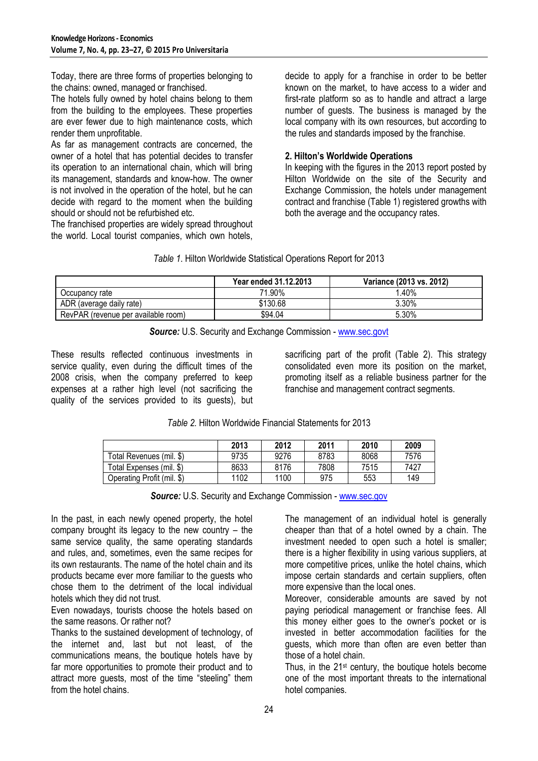Today, there are three forms of properties belonging to the chains: owned, managed or franchised.

The hotels fully owned by hotel chains belong to them from the building to the employees. These properties are ever fewer due to high maintenance costs, which render them unprofitable.

As far as management contracts are concerned, the owner of a hotel that has potential decides to transfer its operation to an international chain, which will bring its management, standards and know-how. The owner is not involved in the operation of the hotel, but he can decide with regard to the moment when the building should or should not be refurbished etc.

The franchised properties are widely spread throughout the world. Local tourist companies, which own hotels,

decide to apply for a franchise in order to be better known on the market, to have access to a wider and first-rate platform so as to handle and attract a large number of guests. The business is managed by the local company with its own resources, but according to the rules and standards imposed by the franchise.

## **2. Hilton's Worldwide Operations**

In keeping with the figures in the 2013 report posted by Hilton Worldwide on the site of the Security and Exchange Commission, the hotels under management contract and franchise (Table 1) registered growths with both the average and the occupancy rates.

|  |  |  |  | Table 1. Hilton Worldwide Statistical Operations Report for 2013 |  |  |
|--|--|--|--|------------------------------------------------------------------|--|--|
|--|--|--|--|------------------------------------------------------------------|--|--|

|                                     | Year ended 31.12.2013 | Variance (2013 vs. 2012) |
|-------------------------------------|-----------------------|--------------------------|
| Occupancv rate                      | 71.90%                | $^{\prime}$ .40%         |
| ADR (average daily rate)            | \$130.68              | $3.30\%$                 |
| RevPAR (revenue per available room) | \$94.04               | 5.30%                    |



These results reflected continuous investments in service quality, even during the difficult times of the 2008 crisis, when the company preferred to keep expenses at a rather high level (not sacrificing the quality of the services provided to its guests), but sacrificing part of the profit (Table 2). This strategy consolidated even more its position on the market, promoting itself as a reliable business partner for the franchise and management contract segments.

*Table 2.* Hilton Worldwide Financial Statements for 2013

|                            | 2013 | 2012 | 2011 | 2010 | 2009 |
|----------------------------|------|------|------|------|------|
| Total Revenues (mil. \$)   | 9735 | 9276 | 8783 | 8068 | 7576 |
| Total Expenses (mil. \$)   | 8633 | 8176 | 7808 | 7515 | 7427 |
| Operating Profit (mil. \$) | 1102 | 1100 | 975  | 553  | 149  |

|  |  | <b>Source: U.S. Security and Exchange Commission - www.sec.gov</b> |
|--|--|--------------------------------------------------------------------|
|  |  |                                                                    |

In the past, in each newly opened property, the hotel company brought its legacy to the new country – the same service quality, the same operating standards and rules, and, sometimes, even the same recipes for its own restaurants. The name of the hotel chain and its products became ever more familiar to the guests who chose them to the detriment of the local individual hotels which they did not trust.

Even nowadays, tourists choose the hotels based on the same reasons. Or rather not?

Thanks to the sustained development of technology, of the internet and, last but not least, of the communications means, the boutique hotels have by far more opportunities to promote their product and to attract more guests, most of the time "steeling" them from the hotel chains.

The management of an individual hotel is generally cheaper than that of a hotel owned by a chain. The investment needed to open such a hotel is smaller; there is a higher flexibility in using various suppliers, at more competitive prices, unlike the hotel chains, which impose certain standards and certain suppliers, often more expensive than the local ones.

Moreover, considerable amounts are saved by not paying periodical management or franchise fees. All this money either goes to the owner's pocket or is invested in better accommodation facilities for the guests, which more than often are even better than those of a hotel chain.

Thus, in the 21<sup>st</sup> century, the boutique hotels become one of the most important threats to the international hotel companies.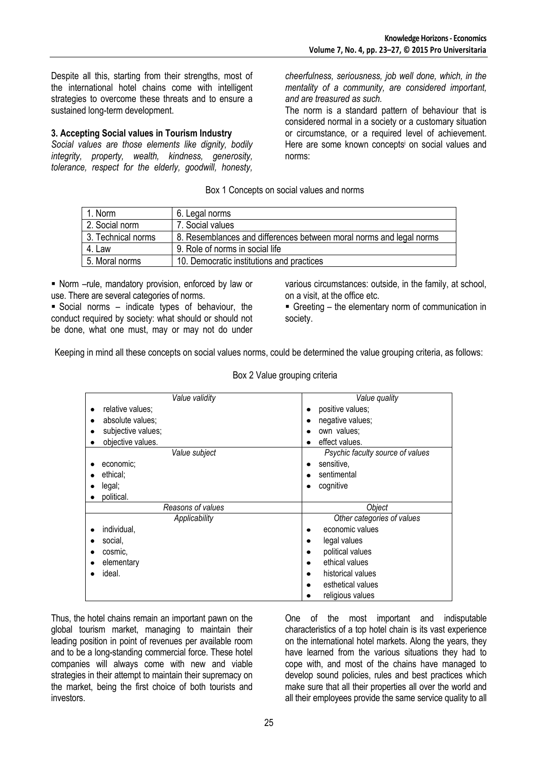Despite all this, starting from their strengths, most of the international hotel chains come with intelligent strategies to overcome these threats and to ensure a sustained long-term development.

## **3. Accepting Social values in Tourism Industry**

*Social values are those elements like dignity, bodily integrity, property, wealth, kindness, generosity, tolerance, respect for the elderly, goodwill, honesty,* 

*cheerfulness, seriousness, job well done, which, in the mentality of a community, are considered important, and are treasured as such.*

The norm is a standard pattern of behaviour that is considered normal in a society or a customary situation or circumstance, or a required level of achievement. Here are some known concepts<sup>i</sup> on social values and norms:

Box 1 Concepts on social values and norms

| 1. Norm            | 6. Legal norms                                                      |
|--------------------|---------------------------------------------------------------------|
| 2. Social norm     | 7. Social values                                                    |
| 3. Technical norms | 8. Resemblances and differences between moral norms and legal norms |
| 4. Law             | 9. Role of norms in social life                                     |
| 5. Moral norms     | 10. Democratic institutions and practices                           |

 Norm –rule, mandatory provision, enforced by law or use. There are several categories of norms.

 Social norms – indicate types of behaviour, the conduct required by society: what should or should not be done, what one must, may or may not do under various circumstances: outside, in the family, at school, on a visit, at the office etc.

 Greeting – the elementary norm of communication in society.

Keeping in mind all these concepts on social values norms, could be determined the value grouping criteria, as follows:

| Value validity         | Value quality                    |
|------------------------|----------------------------------|
| relative values;<br>٠  | positive values;                 |
| absolute values;       | negative values;                 |
| subjective values;     | own values;                      |
| objective values.<br>٠ | effect values.                   |
| Value subject          | Psychic faculty source of values |
| economic;              | sensitive,                       |
| ethical:               | sentimental                      |
| legal;                 | cognitive                        |
| political.             |                                  |
| Reasons of values      | Object                           |
| Applicability          | Other categories of values       |
| individual,            | economic values                  |
| social,                | legal values<br>٠                |
| cosmic.                | political values                 |
| elementary             | ethical values                   |
| ideal.                 | historical values                |
|                        | esthetical values                |
|                        | religious values                 |

Box 2 Value grouping criteria

Thus, the hotel chains remain an important pawn on the global tourism market, managing to maintain their leading position in point of revenues per available room and to be a long-standing commercial force. These hotel companies will always come with new and viable strategies in their attempt to maintain their supremacy on the market, being the first choice of both tourists and investors.

One of the most important and indisputable characteristics of a top hotel chain is its vast experience on the international hotel markets. Along the years, they have learned from the various situations they had to cope with, and most of the chains have managed to develop sound policies, rules and best practices which make sure that all their properties all over the world and all their employees provide the same service quality to all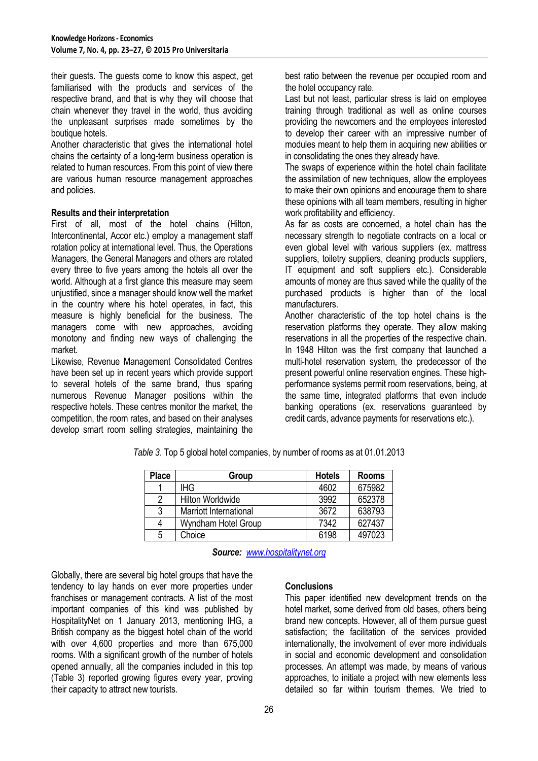their guests. The guests come to know this aspect, get familiarised with the products and services of the respective brand, and that is why they will choose that chain whenever they travel in the world, thus avoiding the unpleasant surprises made sometimes by the boutique hotels.

Another characteristic that gives the international hotel chains the certainty of a long-term business operation is related to human resources. From this point of view there are various human resource management approaches and policies.

#### **Results and their interpretation**

First of all, most of the hotel chains (Hilton, Intercontinental, Accor etc.) employ a management staff rotation policy at international level. Thus, the Operations Managers, the General Managers and others are rotated every three to five years among the hotels all over the world. Although at a first glance this measure may seem unjustified, since a manager should know well the market in the country where his hotel operates, in fact, this measure is highly beneficial for the business. The managers come with new approaches, avoiding monotony and finding new ways of challenging the market.

Likewise, Revenue Management Consolidated Centres have been set up in recent years which provide support to several hotels of the same brand, thus sparing numerous Revenue Manager positions within the respective hotels. These centres monitor the market, the competition, the room rates, and based on their analyses develop smart room selling strategies, maintaining the

best ratio between the revenue per occupied room and the hotel occupancy rate.

Last but not least, particular stress is laid on employee training through traditional as well as online courses providing the newcomers and the employees interested to develop their career with an impressive number of modules meant to help them in acquiring new abilities or in consolidating the ones they already have.

The swaps of experience within the hotel chain facilitate the assimilation of new techniques, allow the employees to make their own opinions and encourage them to share these opinions with all team members, resulting in higher work profitability and efficiency.

As far as costs are concerned, a hotel chain has the necessary strength to negotiate contracts on a local or even global level with various suppliers (ex. mattress suppliers, toiletry suppliers, cleaning products suppliers, IT equipment and soft suppliers etc.). Considerable amounts of money are thus saved while the quality of the purchased products is higher than of the local manufacturers.

Another characteristic of the top hotel chains is the reservation platforms they operate. They allow making reservations in all the properties of the respective chain. In 1948 Hilton was the first company that launched a multi-hotel reservation system, the predecessor of the present powerful online reservation engines. These highperformance systems permit room reservations, being, at the same time, integrated platforms that even include banking operations (ex. reservations guaranteed by credit cards, advance payments for reservations etc.).

| <b>Place</b> | Group                         | <b>Hotels</b> | <b>Rooms</b> |
|--------------|-------------------------------|---------------|--------------|
|              | <b>IHG</b>                    | 4602          | 675982       |
| 2            | <b>Hilton Worldwide</b>       | 3992          | 652378       |
| 3            | <b>Marriott International</b> | 3672          | 638793       |
| 4            | Wyndham Hotel Group           | 7342          | 627437       |
| 5            | Choice                        | 6198          | 497023       |

*Table 3*. Top 5 global hotel companies, by number of rooms as at 01.01.2013

*Source: [www.hospitalitynet.org](http://www.hospitalitynet.org/)*

Globally, there are several big hotel groups that have the tendency to lay hands on ever more properties under franchises or management contracts. A list of the most important companies of this kind was published by HospitalityNet on 1 January 2013, mentioning IHG, a British company as the biggest hotel chain of the world with over 4,600 properties and more than 675,000 rooms. With a significant growth of the number of hotels opened annually, all the companies included in this top (Table 3) reported growing figures every year, proving their capacity to attract new tourists.

#### **Conclusions**

This paper identified new development trends on the hotel market, some derived from old bases, others being brand new concepts. However, all of them pursue guest satisfaction; the facilitation of the services provided internationally, the involvement of ever more individuals in social and economic development and consolidation processes. An attempt was made, by means of various approaches, to initiate a project with new elements less detailed so far within tourism themes. We tried to